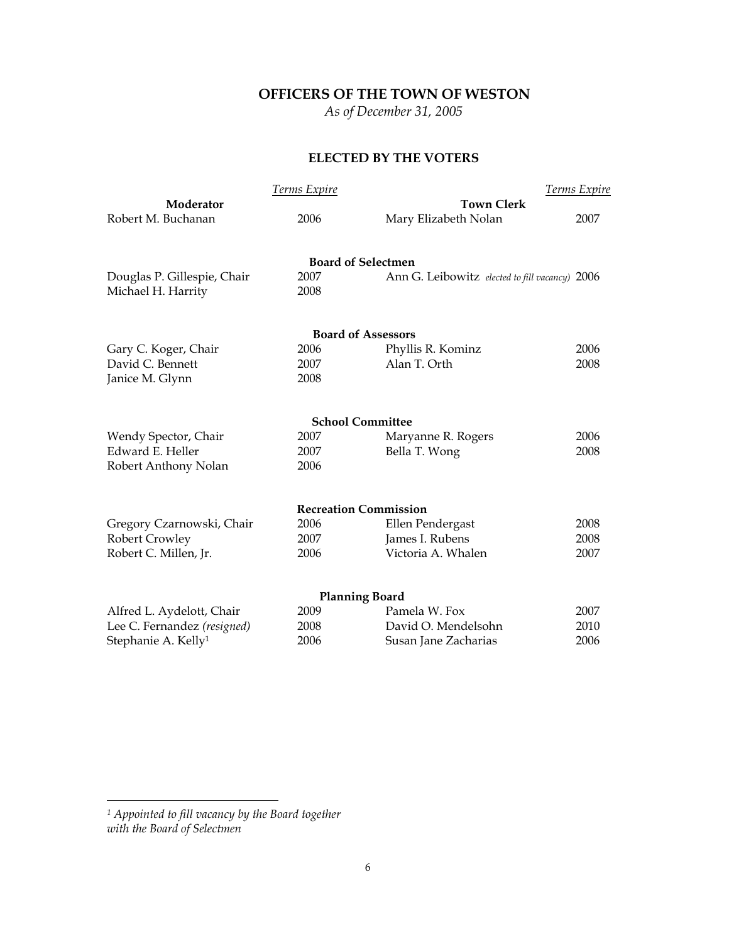# **OFFICERS OF THE TOWN OF WESTON**

*As of December 31, 2005* 

## **ELECTED BY THE VOTERS**

|                                 | <b>Terms Expire</b>          |                                                | <b>Terms Expire</b> |
|---------------------------------|------------------------------|------------------------------------------------|---------------------|
| Moderator                       |                              | <b>Town Clerk</b>                              |                     |
| Robert M. Buchanan              | 2006                         | Mary Elizabeth Nolan                           | 2007                |
|                                 | <b>Board of Selectmen</b>    |                                                |                     |
| Douglas P. Gillespie, Chair     | 2007                         | Ann G. Leibowitz elected to fill vacancy) 2006 |                     |
| Michael H. Harrity              | 2008                         |                                                |                     |
|                                 | <b>Board of Assessors</b>    |                                                |                     |
| Gary C. Koger, Chair            | 2006                         | Phyllis R. Kominz                              | 2006                |
| David C. Bennett                | 2007                         | Alan T. Orth                                   | 2008                |
| Janice M. Glynn                 | 2008                         |                                                |                     |
|                                 | <b>School Committee</b>      |                                                |                     |
| Wendy Spector, Chair            | 2007                         | Maryanne R. Rogers                             | 2006                |
| Edward E. Heller                | 2007                         | Bella T. Wong                                  | 2008                |
| Robert Anthony Nolan            | 2006                         |                                                |                     |
|                                 | <b>Recreation Commission</b> |                                                |                     |
| Gregory Czarnowski, Chair       | 2006                         | Ellen Pendergast                               | 2008                |
| <b>Robert Crowley</b>           | 2007                         | James I. Rubens                                | 2008                |
| Robert C. Millen, Jr.           | 2006                         | Victoria A. Whalen                             | 2007                |
|                                 | <b>Planning Board</b>        |                                                |                     |
| Alfred L. Aydelott, Chair       | 2009                         | Pamela W. Fox                                  | 2007                |
| Lee C. Fernandez (resigned)     | 2008                         | David O. Mendelsohn                            | 2010                |
| Stephanie A. Kelly <sup>1</sup> | 2006                         | Susan Jane Zacharias                           | 2006                |
|                                 |                              |                                                |                     |

*<sup>1</sup> Appointed to fill vacancy by the Board together with the Board of Selectmen*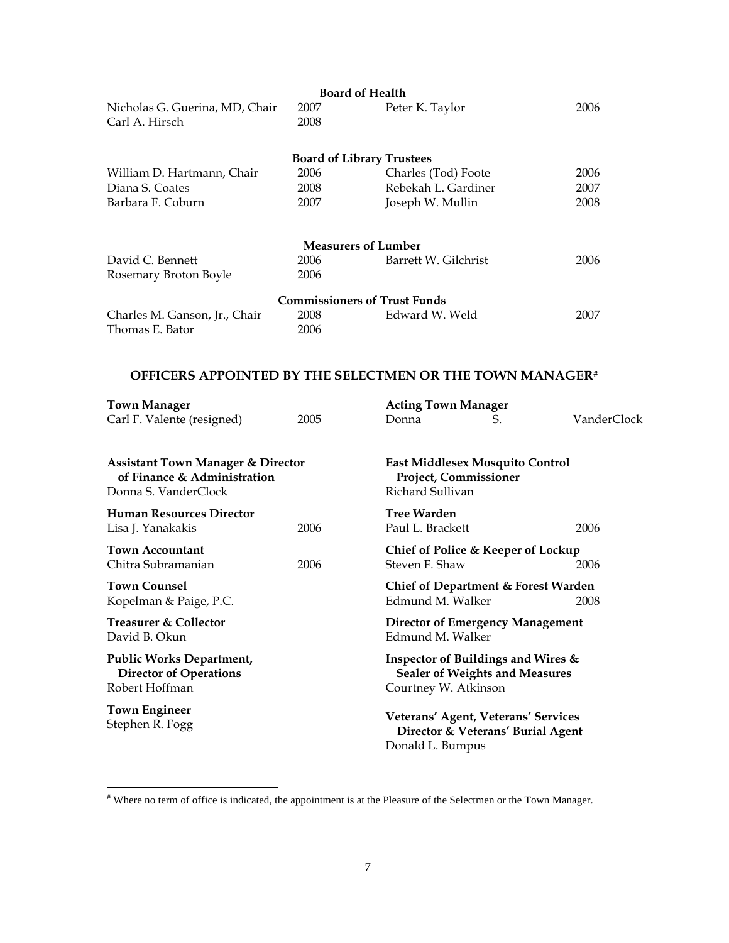|                                                                                                     | <b>Board of Health</b>              |                                                                                                     |    |             |
|-----------------------------------------------------------------------------------------------------|-------------------------------------|-----------------------------------------------------------------------------------------------------|----|-------------|
| Nicholas G. Guerina, MD, Chair<br>Carl A. Hirsch                                                    | 2007<br>2008                        | Peter K. Taylor                                                                                     |    | 2006        |
|                                                                                                     | <b>Board of Library Trustees</b>    |                                                                                                     |    |             |
| William D. Hartmann, Chair                                                                          | 2006                                | Charles (Tod) Foote                                                                                 |    | 2006        |
| Diana S. Coates                                                                                     | 2008                                | Rebekah L. Gardiner                                                                                 |    | 2007        |
| Barbara F. Coburn                                                                                   | 2007                                | Joseph W. Mullin                                                                                    |    | 2008        |
|                                                                                                     | <b>Measurers of Lumber</b>          |                                                                                                     |    |             |
| David C. Bennett                                                                                    | 2006                                | Barrett W. Gilchrist                                                                                |    | 2006        |
| Rosemary Broton Boyle                                                                               | 2006                                |                                                                                                     |    |             |
|                                                                                                     | <b>Commissioners of Trust Funds</b> |                                                                                                     |    |             |
| Charles M. Ganson, Jr., Chair                                                                       | 2008                                | Edward W. Weld                                                                                      |    | 2007        |
| Thomas E. Bator                                                                                     | 2006                                |                                                                                                     |    |             |
| <b>OFFICERS APPOINTED BY THE SELECTMEN OR THE TOWN MANAGER#</b>                                     |                                     |                                                                                                     |    |             |
| <b>Town Manager</b>                                                                                 |                                     | <b>Acting Town Manager</b>                                                                          |    |             |
| Carl F. Valente (resigned)                                                                          | 2005                                | Donna                                                                                               | S. | VanderClock |
| <b>Assistant Town Manager &amp; Director</b><br>of Finance & Administration<br>Donna S. VanderClock |                                     | East Middlesex Mosquito Control<br>Project, Commissioner<br>Richard Sullivan                        |    |             |
| <b>Human Resources Director</b>                                                                     |                                     | <b>Tree Warden</b>                                                                                  |    |             |
| Lisa J. Yanakakis                                                                                   | 2006                                | Paul L. Brackett                                                                                    |    | 2006        |
| <b>Town Accountant</b><br>Chitra Subramanian                                                        | 2006                                | Chief of Police & Keeper of Lockup<br>Steven F. Shaw                                                |    | 2006        |
| <b>Town Counsel</b><br>Kopelman & Paige, P.C.                                                       |                                     | Chief of Department & Forest Warden<br>Edmund M. Walker                                             |    | 2008        |
| <b>Treasurer &amp; Collector</b><br>David B. Okun                                                   |                                     | <b>Director of Emergency Management</b><br>Edmund M. Walker                                         |    |             |
| <b>Public Works Department,</b><br><b>Director of Operations</b><br>Robert Hoffman                  |                                     | Inspector of Buildings and Wires &<br><b>Sealer of Weights and Measures</b><br>Courtney W. Atkinson |    |             |
| <b>Town Engineer</b><br>Stephen R. Fogg                                                             |                                     | Veterans' Agent, Veterans' Services<br>Director & Veterans' Burial Agent                            |    |             |

 # Where no term of office is indicated, the appointment is at the Pleasure of the Selectmen or the Town Manager.

Donald L. Bumpus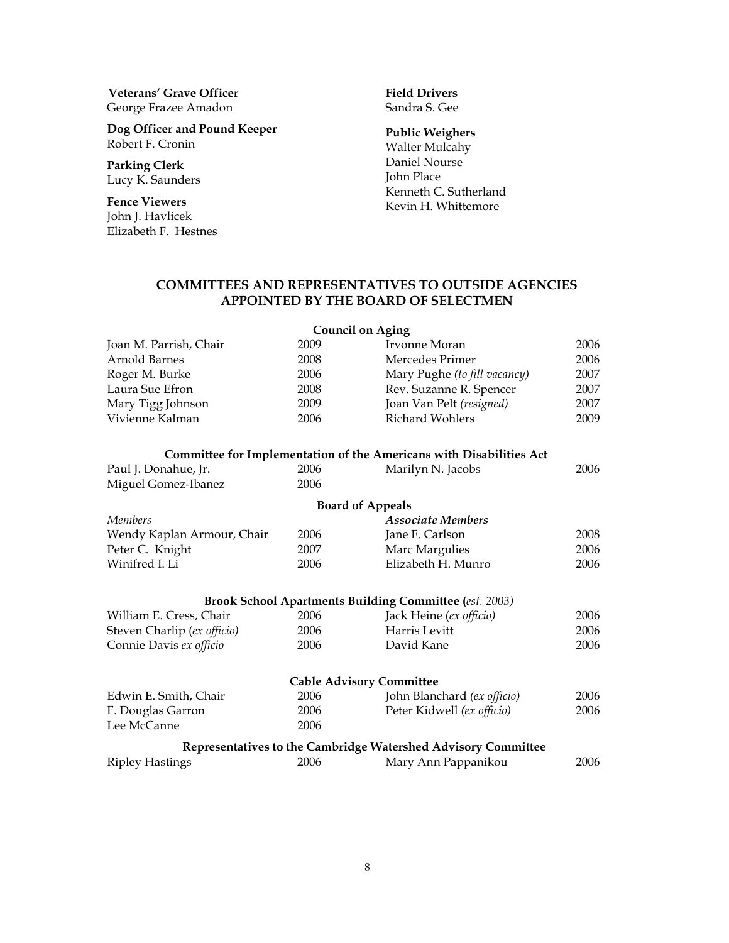**Veterans' Grave Officer** George Frazee Amadon

**Dog Officer and Pound Keeper** Robert F. Cronin

**Parking Clerk** Lucy K. Saunders

**Fence Viewers** John J. Havlicek Elizabeth F. Hestnes

#### **Field Drivers** Sandra S. Gee

### **Public Weighers**

Walter Mulcahy Daniel Nourse John Place Kenneth C. Sutherland Kevin H. Whittemore

## **COMMITTEES AND REPRESENTATIVES TO OUTSIDE AGENCIES APPOINTED BY THE BOARD OF SELECTMEN**

|                             |      | <b>Council on Aging</b>                                             |      |
|-----------------------------|------|---------------------------------------------------------------------|------|
| Joan M. Parrish, Chair      | 2009 | Irvonne Moran                                                       | 2006 |
| Arnold Barnes               | 2008 | Mercedes Primer                                                     | 2006 |
| Roger M. Burke              | 2006 | Mary Pughe (to fill vacancy)                                        | 2007 |
| Laura Sue Efron             | 2008 | Rev. Suzanne R. Spencer                                             | 2007 |
| Mary Tigg Johnson           | 2009 | Joan Van Pelt (resigned)                                            | 2007 |
| Vivienne Kalman             | 2006 | <b>Richard Wohlers</b>                                              | 2009 |
|                             |      | Committee for Implementation of the Americans with Disabilities Act |      |
| Paul J. Donahue, Jr.        | 2006 | Marilyn N. Jacobs                                                   | 2006 |
| Miguel Gomez-Ibanez         | 2006 |                                                                     |      |
|                             |      | <b>Board of Appeals</b>                                             |      |
| <b>Members</b>              |      | <b>Associate Members</b>                                            |      |
| Wendy Kaplan Armour, Chair  | 2006 | Jane F. Carlson                                                     | 2008 |
| Peter C. Knight             | 2007 | Marc Margulies                                                      | 2006 |
| Winifred I. Li              | 2006 | Elizabeth H. Munro                                                  | 2006 |
|                             |      | <b>Brook School Apartments Building Committee (est. 2003)</b>       |      |
| William E. Cress, Chair     | 2006 | Jack Heine (ex officio)                                             | 2006 |
| Steven Charlip (ex officio) | 2006 | Harris Levitt                                                       | 2006 |
| Connie Davis ex officio     | 2006 | David Kane                                                          | 2006 |
|                             |      | <b>Cable Advisory Committee</b>                                     |      |
| Edwin E. Smith, Chair       | 2006 | John Blanchard (ex officio)                                         | 2006 |
| F. Douglas Garron           | 2006 | Peter Kidwell (ex officio)                                          | 2006 |
| Lee McCanne                 | 2006 |                                                                     |      |
|                             |      | Representatives to the Cambridge Watershed Advisory Committee       |      |
| <b>Ripley Hastings</b>      | 2006 | Mary Ann Pappanikou                                                 | 2006 |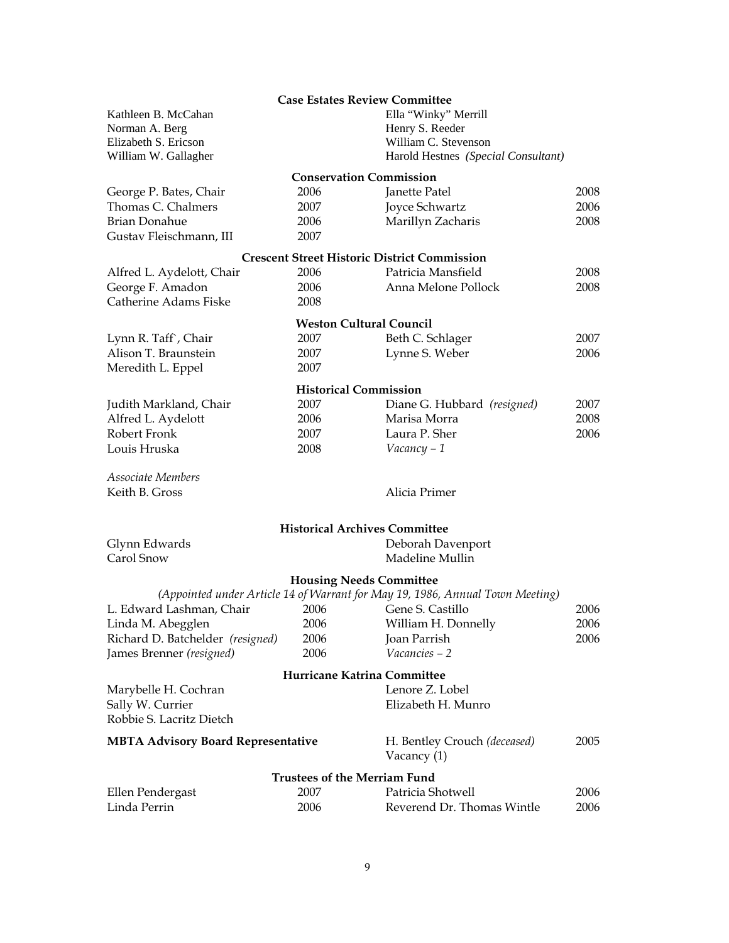|                                           | <b>Case Estates Review Committee</b> |                                                                               |      |
|-------------------------------------------|--------------------------------------|-------------------------------------------------------------------------------|------|
| Kathleen B. McCahan                       |                                      | Ella "Winky" Merrill                                                          |      |
| Norman A. Berg                            |                                      | Henry S. Reeder                                                               |      |
| Elizabeth S. Ericson                      |                                      | William C. Stevenson                                                          |      |
| William W. Gallagher                      |                                      | Harold Hestnes (Special Consultant)                                           |      |
|                                           | <b>Conservation Commission</b>       |                                                                               |      |
| George P. Bates, Chair                    | 2006                                 | Janette Patel                                                                 | 2008 |
| Thomas C. Chalmers                        | 2007                                 | Joyce Schwartz                                                                | 2006 |
| <b>Brian Donahue</b>                      | 2006                                 | Marillyn Zacharis                                                             | 2008 |
| Gustav Fleischmann, III                   | 2007                                 |                                                                               |      |
|                                           |                                      | <b>Crescent Street Historic District Commission</b>                           |      |
| Alfred L. Aydelott, Chair                 | 2006                                 | Patricia Mansfield                                                            | 2008 |
| George F. Amadon                          | 2006                                 | Anna Melone Pollock                                                           | 2008 |
| Catherine Adams Fiske                     | 2008                                 |                                                                               |      |
|                                           |                                      |                                                                               |      |
|                                           | <b>Weston Cultural Council</b>       |                                                                               |      |
| Lynn R. Taff`, Chair                      | 2007                                 | Beth C. Schlager                                                              | 2007 |
| Alison T. Braunstein                      | 2007                                 | Lynne S. Weber                                                                | 2006 |
| Meredith L. Eppel                         | 2007                                 |                                                                               |      |
|                                           | <b>Historical Commission</b>         |                                                                               |      |
| Judith Markland, Chair                    | 2007                                 | Diane G. Hubbard (resigned)                                                   | 2007 |
| Alfred L. Aydelott                        | 2006                                 | Marisa Morra                                                                  | 2008 |
| Robert Fronk                              | 2007                                 | Laura P. Sher                                                                 | 2006 |
| Louis Hruska                              | 2008                                 | Vacancy - 1                                                                   |      |
|                                           |                                      |                                                                               |      |
| Associate Members                         |                                      |                                                                               |      |
| Keith B. Gross                            |                                      | Alicia Primer                                                                 |      |
|                                           |                                      |                                                                               |      |
|                                           | <b>Historical Archives Committee</b> |                                                                               |      |
| Glynn Edwards<br>Carol Snow               |                                      | Deborah Davenport                                                             |      |
|                                           |                                      | Madeline Mullin                                                               |      |
|                                           | <b>Housing Needs Committee</b>       |                                                                               |      |
|                                           |                                      | (Appointed under Article 14 of Warrant for May 19, 1986, Annual Town Meeting) |      |
| L. Edward Lashman, Chair                  | 2006                                 | Gene S. Castillo                                                              | 2006 |
| Linda M. Abegglen                         | 2006                                 | William H. Donnelly                                                           | 2006 |
| Richard D. Batchelder (resigned)          | 2006                                 | Joan Parrish                                                                  | 2006 |
| James Brenner (resigned)                  | 2006                                 | Vacancies - 2                                                                 |      |
|                                           | Hurricane Katrina Committee          |                                                                               |      |
| Marybelle H. Cochran                      |                                      | Lenore Z. Lobel                                                               |      |
| Sally W. Currier                          |                                      | Elizabeth H. Munro                                                            |      |
| Robbie S. Lacritz Dietch                  |                                      |                                                                               |      |
| <b>MBTA Advisory Board Representative</b> |                                      | H. Bentley Crouch (deceased)                                                  | 2005 |
|                                           |                                      | Vacancy (1)                                                                   |      |
|                                           | <b>Trustees of the Merriam Fund</b>  |                                                                               |      |
| Ellen Pendergast                          | 2007                                 | Patricia Shotwell                                                             | 2006 |
| Linda Perrin                              | 2006                                 | Reverend Dr. Thomas Wintle                                                    | 2006 |
|                                           |                                      |                                                                               |      |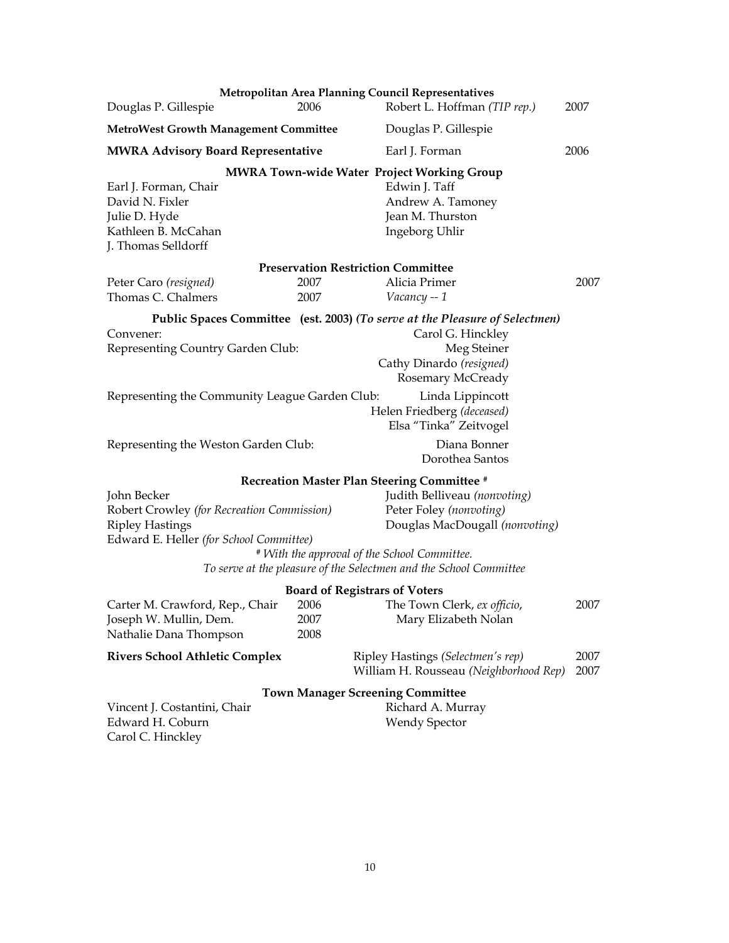|                                                                                                                                |                      | Metropolitan Area Planning Council Representatives                                                                                                               |              |
|--------------------------------------------------------------------------------------------------------------------------------|----------------------|------------------------------------------------------------------------------------------------------------------------------------------------------------------|--------------|
| Douglas P. Gillespie                                                                                                           | 2006                 | Robert L. Hoffman (TIP rep.)                                                                                                                                     | 2007         |
| <b>MetroWest Growth Management Committee</b>                                                                                   |                      | Douglas P. Gillespie                                                                                                                                             |              |
| <b>MWRA Advisory Board Representative</b>                                                                                      |                      | Earl J. Forman                                                                                                                                                   | 2006         |
| Earl J. Forman, Chair<br>David N. Fixler<br>Julie D. Hyde<br>Kathleen B. McCahan<br>J. Thomas Selldorff                        |                      | <b>MWRA Town-wide Water Project Working Group</b><br>Edwin J. Taff<br>Andrew A. Tamoney<br>Jean M. Thurston<br>Ingeborg Uhlir                                    |              |
|                                                                                                                                |                      | <b>Preservation Restriction Committee</b>                                                                                                                        |              |
| Peter Caro (resigned)<br>Thomas C. Chalmers                                                                                    | 2007<br>2007         | Alicia Primer<br>Vacancy -- 1                                                                                                                                    | 2007         |
| Convener:<br>Representing Country Garden Club:                                                                                 |                      | Public Spaces Committee (est. 2003) (To serve at the Pleasure of Selectmen)<br>Carol G. Hinckley<br>Meg Steiner<br>Cathy Dinardo (resigned)<br>Rosemary McCready |              |
| Representing the Community League Garden Club:                                                                                 |                      | Linda Lippincott<br>Helen Friedberg (deceased)<br>Elsa "Tinka" Zeitvogel                                                                                         |              |
| Representing the Weston Garden Club:                                                                                           |                      | Diana Bonner<br>Dorothea Santos                                                                                                                                  |              |
|                                                                                                                                |                      | <b>Recreation Master Plan Steering Committee #</b>                                                                                                               |              |
| John Becker<br>Robert Crowley (for Recreation Commission)<br><b>Ripley Hastings</b><br>Edward E. Heller (for School Committee) |                      | Judith Belliveau (nonvoting)<br>Peter Foley (nonvoting)<br>Douglas MacDougall (nonvoting)<br># With the approval of the School Committee.                        |              |
|                                                                                                                                |                      | To serve at the pleasure of the Selectmen and the School Committee                                                                                               |              |
| Carter M. Crawford, Rep., Chair<br>Joseph W. Mullin, Dem.<br>Nathalie Dana Thompson                                            | 2006<br>2007<br>2008 | <b>Board of Registrars of Voters</b><br>The Town Clerk, ex officio,<br>Mary Elizabeth Nolan                                                                      | 2007         |
| <b>Rivers School Athletic Complex</b>                                                                                          |                      | Ripley Hastings (Selectmen's rep)<br>William H. Rousseau (Neighborhood Rep)                                                                                      | 2007<br>2007 |
| Vincent J. Costantini, Chair<br>Edward H. Coburn<br>Carol C. Hinckley                                                          |                      | <b>Town Manager Screening Committee</b><br>Richard A. Murray<br><b>Wendy Spector</b>                                                                             |              |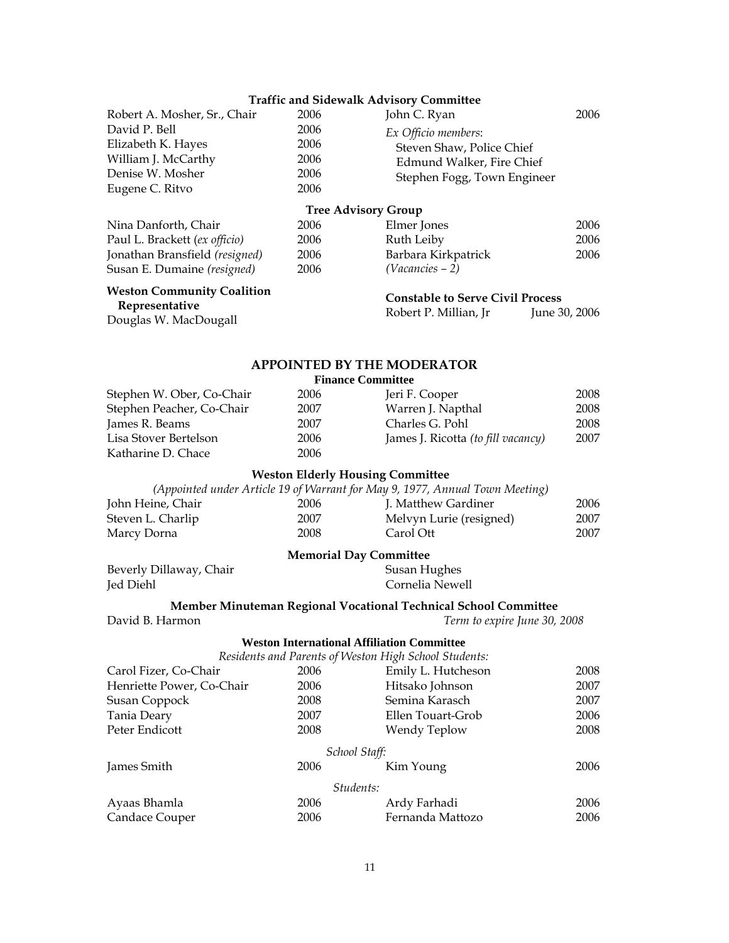### **Traffic and Sidewalk Advisory Committee**

| Robert A. Mosher, Sr., Chair<br>David P. Bell | 2006<br>2006                                      | John C. Ryan<br>Ex Officio members:                                                             | 2006         |
|-----------------------------------------------|---------------------------------------------------|-------------------------------------------------------------------------------------------------|--------------|
| Elizabeth K. Hayes                            | 2006                                              | Steven Shaw, Police Chief                                                                       |              |
| William J. McCarthy                           | 2006                                              | Edmund Walker, Fire Chief                                                                       |              |
| Denise W. Mosher<br>Eugene C. Ritvo           | 2006<br>2006                                      | Stephen Fogg, Town Engineer                                                                     |              |
|                                               |                                                   |                                                                                                 |              |
|                                               | <b>Tree Advisory Group</b>                        |                                                                                                 |              |
| Nina Danforth, Chair                          | 2006                                              | Elmer Jones                                                                                     | 2006         |
| Paul L. Brackett (ex officio)                 | 2006                                              | Ruth Leiby                                                                                      | 2006         |
| Jonathan Bransfield (resigned)                | 2006                                              | Barbara Kirkpatrick                                                                             | 2006         |
| Susan E. Dumaine (resigned)                   | 2006                                              | (Vacancies - 2)                                                                                 |              |
| <b>Weston Community Coalition</b>             |                                                   | <b>Constable to Serve Civil Process</b>                                                         |              |
| Representative                                |                                                   | Robert P. Millian, Jr<br>June 30, 2006                                                          |              |
| Douglas W. MacDougall                         |                                                   |                                                                                                 |              |
|                                               |                                                   |                                                                                                 |              |
|                                               | <b>Finance Committee</b>                          | <b>APPOINTED BY THE MODERATOR</b>                                                               |              |
| Stephen W. Ober, Co-Chair                     | 2006                                              | Jeri F. Cooper                                                                                  | 2008         |
| Stephen Peacher, Co-Chair                     | 2007                                              | Warren J. Napthal                                                                               | 2008         |
| James R. Beams                                | 2007                                              | Charles G. Pohl                                                                                 | 2008         |
| Lisa Stover Bertelson                         | 2006                                              | James J. Ricotta (to fill vacancy)                                                              | 2007         |
| Katharine D. Chace                            | 2006                                              |                                                                                                 |              |
|                                               |                                                   |                                                                                                 |              |
|                                               | <b>Weston Elderly Housing Committee</b>           | (Appointed under Article 19 of Warrant for May 9, 1977, Annual Town Meeting)                    |              |
| John Heine, Chair                             | 2006                                              | J. Matthew Gardiner                                                                             | 2006         |
| Steven L. Charlip                             | 2007                                              | Melvyn Lurie (resigned)                                                                         | 2007         |
| Marcy Dorna                                   | 2008                                              | Carol Ott                                                                                       | 2007         |
|                                               |                                                   |                                                                                                 |              |
| Beverly Dillaway, Chair                       | <b>Memorial Day Committee</b>                     | Susan Hughes                                                                                    |              |
| Jed Diehl                                     |                                                   | Cornelia Newell                                                                                 |              |
|                                               |                                                   |                                                                                                 |              |
| David B. Harmon                               |                                                   | Member Minuteman Regional Vocational Technical School Committee<br>Term to expire June 30, 2008 |              |
|                                               |                                                   |                                                                                                 |              |
|                                               | <b>Weston International Affiliation Committee</b> | Residents and Parents of Weston High School Students:                                           |              |
| Carol Fizer, Co-Chair                         | 2006                                              | Emily L. Hutcheson                                                                              | 2008         |
| Henriette Power, Co-Chair                     | 2006                                              | Hitsako Johnson                                                                                 | 2007         |
| Susan Coppock                                 |                                                   |                                                                                                 | 2007         |
|                                               |                                                   |                                                                                                 |              |
|                                               | 2008                                              | Semina Karasch                                                                                  |              |
| Tania Deary<br>Peter Endicott                 | 2007<br>2008                                      | Ellen Touart-Grob                                                                               | 2006<br>2008 |
|                                               |                                                   | Wendy Teplow                                                                                    |              |
| James Smith                                   | School Staff:<br>2006                             | Kim Young                                                                                       | 2006         |
|                                               | Students:                                         |                                                                                                 |              |
| Ayaas Bhamla                                  | 2006                                              | Ardy Farhadi                                                                                    | 2006         |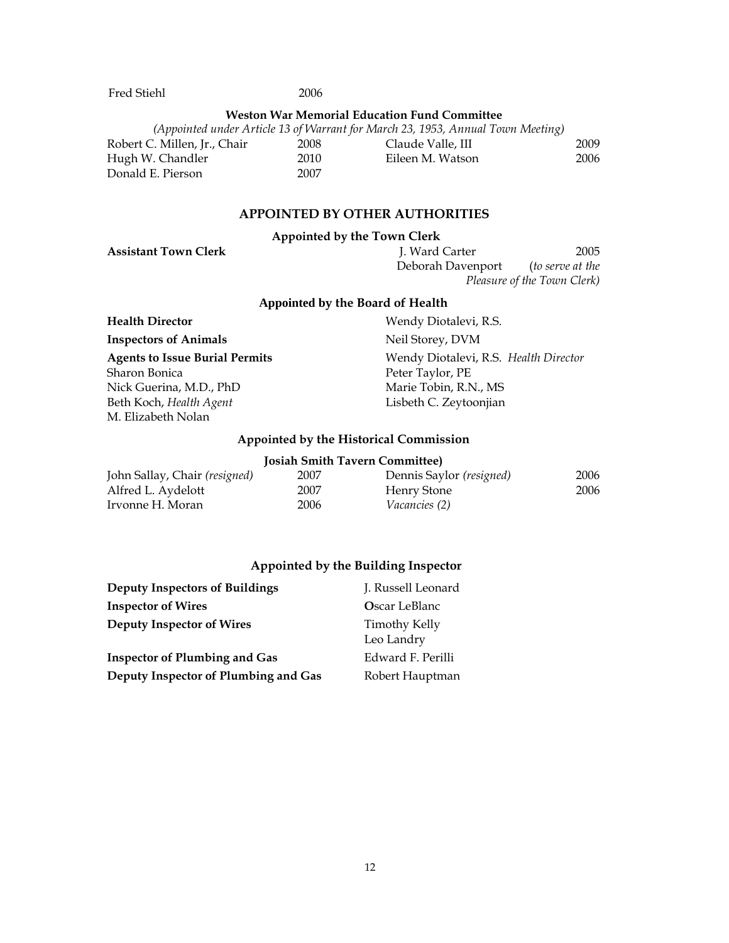Fred Stiehl 2006

### **Weston War Memorial Education Fund Committee**

| (Appointed under Article 13 of Warrant for March 23, 1953, Annual Town Meeting) |      |                   |      |
|---------------------------------------------------------------------------------|------|-------------------|------|
| Robert C. Millen, Jr., Chair                                                    | 2008 | Claude Valle, III | 2009 |
| Hugh W. Chandler                                                                | 2010 | Eileen M. Watson  | 2006 |
| Donald E. Pierson                                                               | 2007 |                   |      |

### **APPOINTED BY OTHER AUTHORITIES**

#### **Appointed by the Town Clerk**

**Assistant Town Clerk** J. Ward Carter 2005 Deborah Davenport (*to serve at the Pleasure of the Town Clerk)* 

## **Appointed by the Board of Health**

**Inspectors of Animals Neil Storey, DVM** 

Sharon Bonica Nick Guerina, M.D., PhD Beth Koch, *Health Agent* M. Elizabeth Nolan

**Health Director Wendy Diotalevi, R.S. Agents to Issue Burial Permits** Wendy Diotalevi, R.S. *Health Director* Peter Taylor, PE Marie Tobin, R.N., MS Lisbeth C. Zeytoonjian

### **Appointed by the Historical Commission**

| <b>Josiah Smith Tavern Committee)</b> |      |                          |      |
|---------------------------------------|------|--------------------------|------|
| John Sallay, Chair (resigned)         | 2007 | Dennis Saylor (resigned) | 2006 |
| Alfred L. Aydelott                    | 2007 | Henry Stone              | 2006 |
| Irvonne H. Moran                      | 2006 | <i>Vacancies (2)</i>     |      |

### **Appointed by the Building Inspector**

| <b>Deputy Inspectors of Buildings</b> | J. Russell Leonard                 |
|---------------------------------------|------------------------------------|
| <b>Inspector of Wires</b>             | <b>Oscar LeBlanc</b>               |
| Deputy Inspector of Wires             | <b>Timothy Kelly</b><br>Leo Landry |
| <b>Inspector of Plumbing and Gas</b>  | Edward F. Perilli                  |
| Deputy Inspector of Plumbing and Gas  | Robert Hauptman                    |